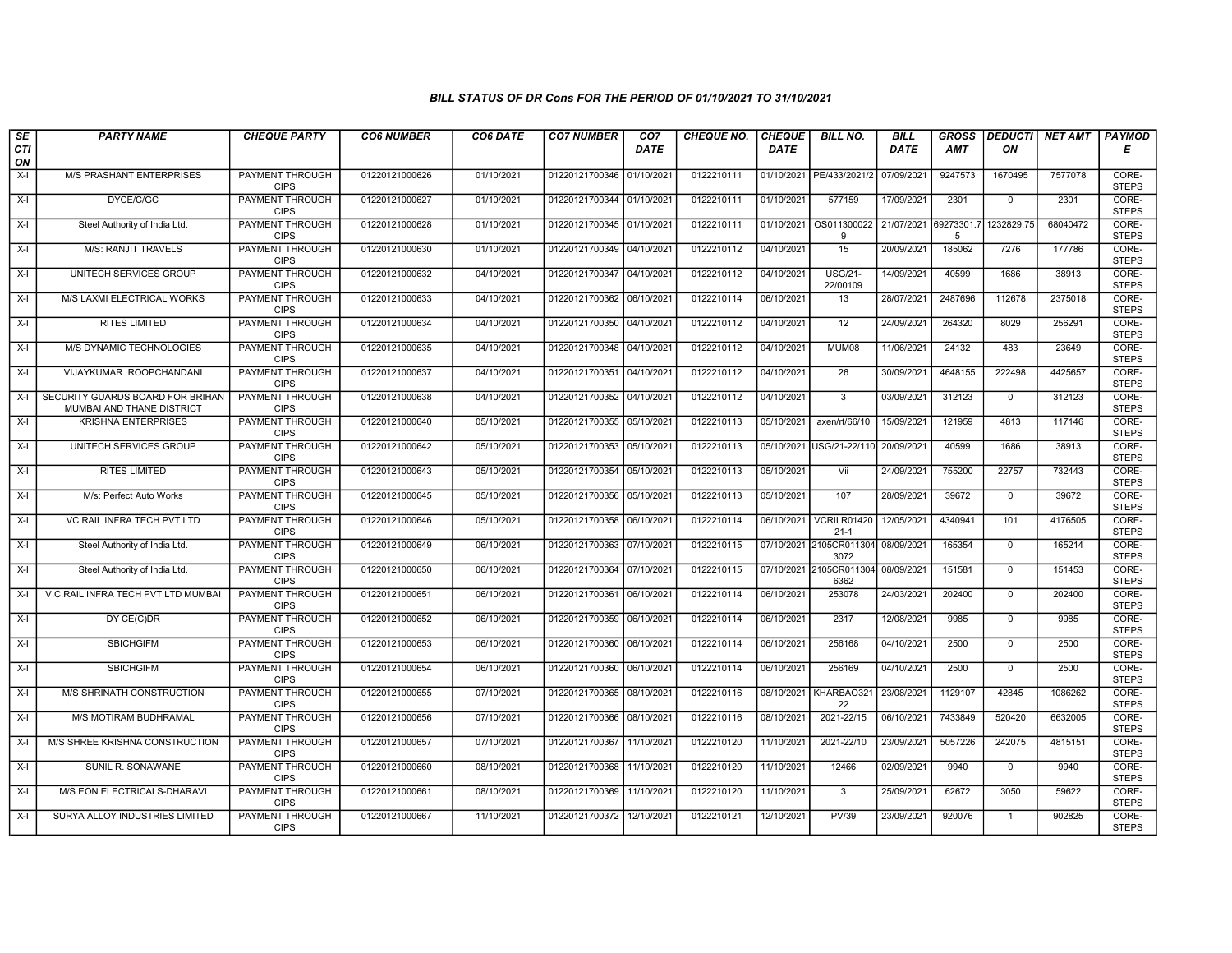## BILL STATUS OF DR Cons FOR THE PERIOD OF 01/10/2021 TO 31/10/2021

| SE        | <b>PARTY NAME</b>                                             | <b>CHEQUE PARTY</b>                   | <b>CO6 NUMBER</b> | CO6 DATE   | <b>CO7 NUMBER</b>         | CO <sub>7</sub> | <b>CHEQUE NO.</b> | <b>CHEQUE</b> | <b>BILL NO.</b>                 | <b>BILL</b> | <b>GROSS</b>    | <b>DEDUCTI</b> | NET AMT  | <b>PAYMOD</b>         |
|-----------|---------------------------------------------------------------|---------------------------------------|-------------------|------------|---------------------------|-----------------|-------------------|---------------|---------------------------------|-------------|-----------------|----------------|----------|-----------------------|
| CTI<br>ON |                                                               |                                       |                   |            |                           | <b>DATE</b>     |                   | <b>DATE</b>   |                                 | DATE        | AMT             | ON             |          | Е                     |
| $X-I$     | <b>M/S PRASHANT ENTERPRISES</b>                               | <b>PAYMENT THROUGH</b><br><b>CIPS</b> | 01220121000626    | 01/10/2021 | 01220121700346 01/10/2021 |                 | 0122210111        |               | 01/10/2021 PE/433/2021/2        | 07/09/2021  | 9247573         | 1670495        | 7577078  | CORE-<br><b>STEPS</b> |
| $X-I$     | DYCE/C/GC                                                     | <b>PAYMENT THROUGH</b><br><b>CIPS</b> | 01220121000627    | 01/10/2021 | 01220121700344 01/10/2021 |                 | 0122210111        | 01/10/2021    | 577159                          | 17/09/2021  | 2301            | $\Omega$       | 2301     | CORE-<br><b>STEPS</b> |
| X-I       | Steel Authority of India Ltd.                                 | PAYMENT THROUGH<br><b>CIPS</b>        | 01220121000628    | 01/10/2021 | 01220121700345 01/10/2021 |                 | 0122210111        | 01/10/2021    | OS011300022<br>9                | 21/07/2021  | 69273301.7<br>5 | 1232829.75     | 68040472 | CORE-<br><b>STEPS</b> |
| $X-I$     | <b>M/S: RANJIT TRAVELS</b>                                    | PAYMENT THROUGH<br><b>CIPS</b>        | 01220121000630    | 01/10/2021 | 01220121700349 04/10/2021 |                 | 0122210112        | 04/10/2021    | 15                              | 20/09/2021  | 185062          | 7276           | 177786   | CORE-<br><b>STEPS</b> |
| $X-I$     | UNITECH SERVICES GROUP                                        | <b>PAYMENT THROUGH</b><br><b>CIPS</b> | 01220121000632    | 04/10/2021 | 01220121700347 04/10/2021 |                 | 0122210112        | 04/10/2021    | <b>USG/21-</b><br>22/00109      | 14/09/2021  | 40599           | 1686           | 38913    | CORE-<br><b>STEPS</b> |
| $X-I$     | M/S LAXMI ELECTRICAL WORKS                                    | <b>PAYMENT THROUGH</b><br><b>CIPS</b> | 01220121000633    | 04/10/2021 | 01220121700362 06/10/2021 |                 | 0122210114        | 06/10/2021    | 13                              | 28/07/2021  | 2487696         | 112678         | 2375018  | CORE-<br><b>STEPS</b> |
| $X-I$     | <b>RITES LIMITED</b>                                          | PAYMENT THROUGH<br><b>CIPS</b>        | 01220121000634    | 04/10/2021 | 01220121700350 04/10/2021 |                 | 0122210112        | 04/10/2021    | 12                              | 24/09/2021  | 264320          | 8029           | 256291   | CORE-<br><b>STEPS</b> |
| $X-I$     | M/S DYNAMIC TECHNOLOGIES                                      | <b>PAYMENT THROUGH</b><br><b>CIPS</b> | 01220121000635    | 04/10/2021 | 01220121700348 04/10/2021 |                 | 0122210112        | 04/10/2021    | MUM08                           | 11/06/2021  | 24132           | 483            | 23649    | CORE-<br><b>STEPS</b> |
| $X-I$     | VIJAYKUMAR ROOPCHANDANI                                       | PAYMENT THROUGH<br><b>CIPS</b>        | 01220121000637    | 04/10/2021 | 01220121700351 04/10/2021 |                 | 0122210112        | 04/10/2021    | $\overline{26}$                 | 30/09/2021  | 4648155         | 222498         | 4425657  | CORE-<br><b>STEPS</b> |
| $X-I$     | SECURITY GUARDS BOARD FOR BRIHAN<br>MUMBAI AND THANE DISTRICT | <b>PAYMENT THROUGH</b><br><b>CIPS</b> | 01220121000638    | 04/10/2021 | 01220121700352 04/10/2021 |                 | 0122210112        | 04/10/2021    | $\overline{\mathbf{3}}$         | 03/09/2021  | 312123          | $\mathbf 0$    | 312123   | CORE-<br><b>STEPS</b> |
| $X-I$     | <b>KRISHNA ENTERPRISES</b>                                    | PAYMENT THROUGH<br><b>CIPS</b>        | 01220121000640    | 05/10/2021 | 01220121700355 05/10/2021 |                 | 0122210113        | 05/10/2021    | axen/rt/66/10                   | 15/09/2021  | 121959          | 4813           | 117146   | CORE-<br><b>STEPS</b> |
| $X-I$     | UNITECH SERVICES GROUP                                        | PAYMENT THROUGH<br><b>CIPS</b>        | 01220121000642    | 05/10/2021 | 01220121700353 05/10/2021 |                 | 0122210113        | 05/10/2021    | USG/21-22/110                   | 20/09/2021  | 40599           | 1686           | 38913    | CORE-<br><b>STEPS</b> |
| X-I       | <b>RITES LIMITED</b>                                          | <b>PAYMENT THROUGH</b><br><b>CIPS</b> | 01220121000643    | 05/10/2021 | 01220121700354 05/10/2021 |                 | 0122210113        | 05/10/2021    | Vii                             | 24/09/2021  | 755200          | 22757          | 732443   | CORE-<br><b>STEPS</b> |
| $X-I$     | M/s: Perfect Auto Works                                       | <b>PAYMENT THROUGH</b><br><b>CIPS</b> | 01220121000645    | 05/10/2021 | 01220121700356 05/10/2021 |                 | 0122210113        | 05/10/2021    | 107                             | 28/09/2021  | 39672           | $\overline{0}$ | 39672    | CORE-<br><b>STEPS</b> |
| $X-I$     | VC RAIL INFRA TECH PVT.LTD                                    | <b>PAYMENT THROUGH</b><br><b>CIPS</b> | 01220121000646    | 05/10/2021 | 01220121700358 06/10/2021 |                 | 0122210114        | 06/10/2021    | VCRILR01420<br>$21 - 1$         | 12/05/2021  | 4340941         | 101            | 4176505  | CORE-<br><b>STEPS</b> |
| $X-I$     | Steel Authority of India Ltd.                                 | PAYMENT THROUGH<br><b>CIPS</b>        | 01220121000649    | 06/10/2021 | 01220121700363 07/10/2021 |                 | 0122210115        |               | 07/10/2021 2105CR011304<br>3072 | 08/09/2021  | 165354          | $\overline{0}$ | 165214   | CORE-<br><b>STEPS</b> |
| $X-I$     | Steel Authority of India Ltd.                                 | PAYMENT THROUGH<br><b>CIPS</b>        | 01220121000650    | 06/10/2021 | 01220121700364 07/10/2021 |                 | 0122210115        |               | 07/10/2021 2105CR011304<br>6362 | 08/09/2021  | 151581          | $\mathbf{0}$   | 151453   | CORE-<br><b>STEPS</b> |
| X-I       | V.C.RAIL INFRA TECH PVT LTD MUMBAI                            | <b>PAYMENT THROUGH</b><br><b>CIPS</b> | 01220121000651    | 06/10/2021 | 01220121700361 06/10/2021 |                 | 0122210114        | 06/10/2021    | 253078                          | 24/03/2021  | 202400          | $\mathbf 0$    | 202400   | CORE-<br><b>STEPS</b> |
| $X-I$     | DY CE(C)DR                                                    | <b>PAYMENT THROUGH</b><br><b>CIPS</b> | 01220121000652    | 06/10/2021 | 01220121700359 06/10/2021 |                 | 0122210114        | 06/10/2021    | 2317                            | 12/08/2021  | 9985            | $\Omega$       | 9985     | CORE-<br><b>STEPS</b> |
| $X-I$     | <b>SBICHGIFM</b>                                              | <b>PAYMENT THROUGH</b><br><b>CIPS</b> | 01220121000653    | 06/10/2021 | 01220121700360 06/10/2021 |                 | 0122210114        | 06/10/2021    | 256168                          | 04/10/2021  | 2500            | $\mathbf 0$    | 2500     | CORE-<br><b>STEPS</b> |
| $X-I$     | <b>SBICHGIFM</b>                                              | <b>PAYMENT THROUGH</b><br><b>CIPS</b> | 01220121000654    | 06/10/2021 | 01220121700360 06/10/2021 |                 | 0122210114        | 06/10/2021    | 256169                          | 04/10/2021  | 2500            | $\mathbf 0$    | 2500     | CORE-<br><b>STEPS</b> |
| $X-I$     | M/S SHRINATH CONSTRUCTION                                     | <b>PAYMENT THROUGH</b><br><b>CIPS</b> | 01220121000655    | 07/10/2021 | 01220121700365 08/10/2021 |                 | 0122210116        | 08/10/2021    | KHARBAO321<br>22                | 23/08/2021  | 1129107         | 42845          | 1086262  | CORE-<br><b>STEPS</b> |
| X-I       | M/S MOTIRAM BUDHRAMAL                                         | PAYMENT THROUGH<br><b>CIPS</b>        | 01220121000656    | 07/10/2021 | 01220121700366 08/10/2021 |                 | 0122210116        | 08/10/2021    | 2021-22/15                      | 06/10/2021  | 7433849         | 520420         | 6632005  | CORE-<br><b>STEPS</b> |
| $X-I$     | M/S SHREE KRISHNA CONSTRUCTION                                | PAYMENT THROUGH<br><b>CIPS</b>        | 01220121000657    | 07/10/2021 | 01220121700367            | 11/10/2021      | 0122210120        | 11/10/2021    | 2021-22/10                      | 23/09/2021  | 5057226         | 242075         | 4815151  | CORE-<br><b>STEPS</b> |
| $X-I$     | SUNIL R. SONAWANE                                             | <b>PAYMENT THROUGH</b><br><b>CIPS</b> | 01220121000660    | 08/10/2021 | 01220121700368            | 11/10/2021      | 0122210120        | 11/10/2021    | 12466                           | 02/09/2021  | 9940            | $\mathbf 0$    | 9940     | CORE-<br><b>STEPS</b> |
| $X-I$     | M/S EON ELECTRICALS-DHARAVI                                   | <b>PAYMENT THROUGH</b><br><b>CIPS</b> | 01220121000661    | 08/10/2021 | 01220121700369            | 11/10/2021      | 0122210120        | 11/10/2021    |                                 | 25/09/2021  | 62672           | 3050           | 59622    | CORE-<br><b>STEPS</b> |
| $X-I$     | SURYA ALLOY INDUSTRIES LIMITED                                | <b>PAYMENT THROUGH</b><br><b>CIPS</b> | 01220121000667    | 11/10/2021 | 01220121700372 12/10/2021 |                 | 0122210121        | 12/10/2021    | PV/39                           | 23/09/2021  | 920076          | 1              | 902825   | CORE-<br><b>STEPS</b> |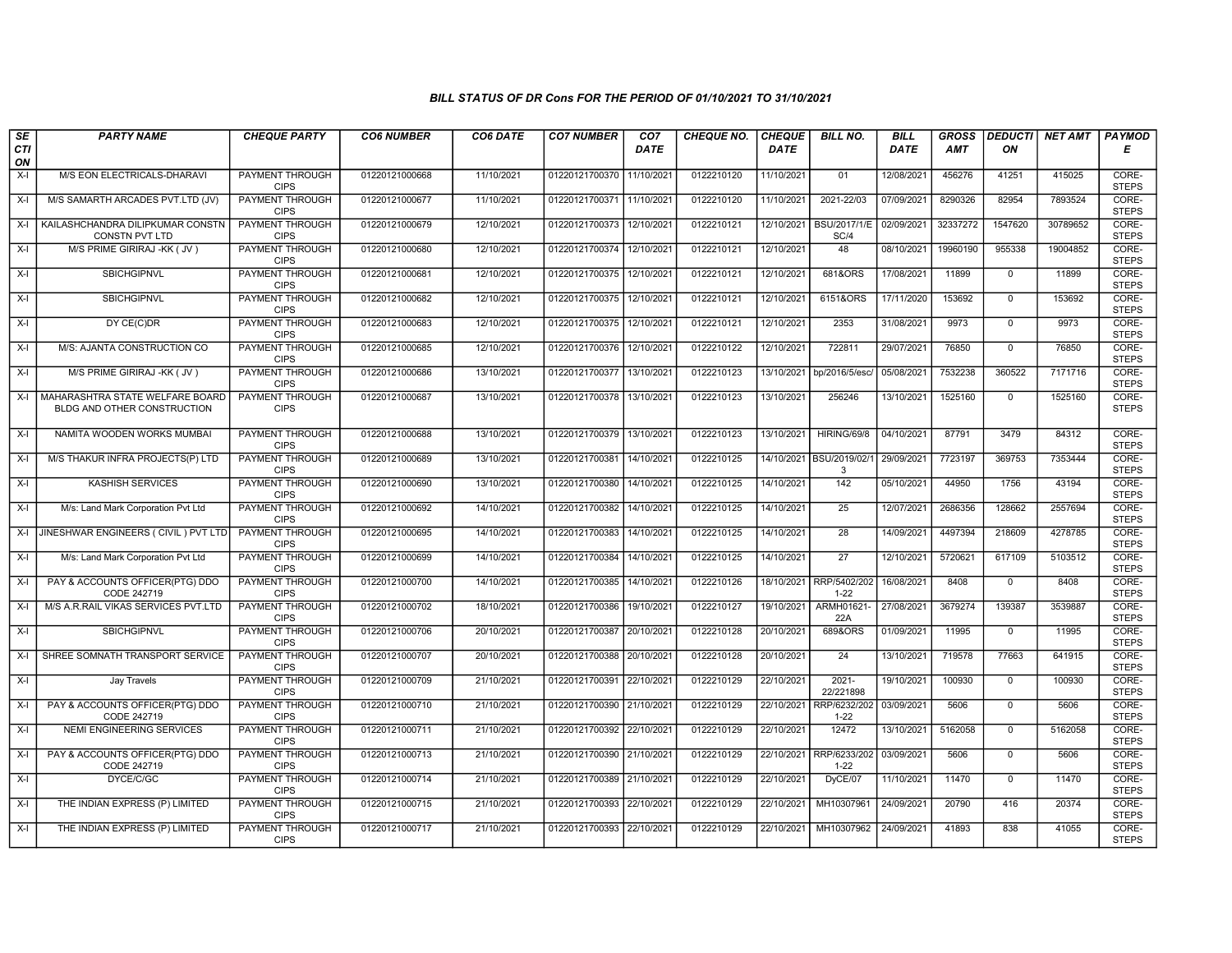## BILL STATUS OF DR Cons FOR THE PERIOD OF 01/10/2021 TO 31/10/2021

| SE        | <b>PARTY NAME</b>                                              | <b>CHEQUE PARTY</b>                   | <b>CO6 NUMBER</b> | CO6 DATE   | <b>CO7 NUMBER</b>         | CO <sub>7</sub> | <b>CHEQUE NO.</b> | <b>CHEQUE</b> | <b>BILL NO.</b>               | <b>BILL</b> | <b>GROSS</b> | <b>DEDUCTI</b> | NET AMT  | <b>PAYMOD</b>         |
|-----------|----------------------------------------------------------------|---------------------------------------|-------------------|------------|---------------------------|-----------------|-------------------|---------------|-------------------------------|-------------|--------------|----------------|----------|-----------------------|
| CTI<br>ON |                                                                |                                       |                   |            |                           | <b>DATE</b>     |                   | <b>DATE</b>   |                               | DATE        | AMT          | ON             |          | E                     |
| $X-I$     | M/S EON ELECTRICALS-DHARAVI                                    | <b>PAYMENT THROUGH</b><br><b>CIPS</b> | 01220121000668    | 11/10/2021 | 01220121700370 11/10/2021 |                 | 0122210120        | 11/10/2021    | 01                            | 12/08/2021  | 456276       | 41251          | 415025   | CORE-<br><b>STEPS</b> |
| $X-I$     | M/S SAMARTH ARCADES PVT.LTD (JV)                               | <b>PAYMENT THROUGH</b><br><b>CIPS</b> | 01220121000677    | 11/10/2021 | 01220121700371 11/10/2021 |                 | 0122210120        | 11/10/2021    | 2021-22/03                    | 07/09/2021  | 8290326      | 82954          | 7893524  | CORE-<br><b>STEPS</b> |
| $X-I$     | KAILASHCHANDRA DILIPKUMAR CONSTN<br>CONSTN PVT LTD             | PAYMENT THROUGH<br><b>CIPS</b>        | 01220121000679    | 12/10/2021 | 01220121700373 12/10/2021 |                 | 0122210121        | 12/10/2021    | BSU/2017/1/E<br>SC/4          | 02/09/2021  | 32337272     | 1547620        | 30789652 | CORE-<br><b>STEPS</b> |
| $X-I$     | M/S PRIME GIRIRAJ -KK (JV)                                     | PAYMENT THROUGH<br><b>CIPS</b>        | 01220121000680    | 12/10/2021 | 01220121700374 12/10/2021 |                 | 0122210121        | 12/10/2021    | 48                            | 08/10/2021  | 19960190     | 955338         | 19004852 | CORE-<br><b>STEPS</b> |
| $X-I$     | <b>SBICHGIPNVL</b>                                             | <b>PAYMENT THROUGH</b><br><b>CIPS</b> | 01220121000681    | 12/10/2021 | 01220121700375 12/10/2021 |                 | 0122210121        | 12/10/2021    | 681&ORS                       | 17/08/2021  | 11899        | $\overline{0}$ | 11899    | CORE-<br><b>STEPS</b> |
| X-I       | <b>SBICHGIPNVL</b>                                             | PAYMENT THROUGH<br><b>CIPS</b>        | 01220121000682    | 12/10/2021 | 01220121700375 12/10/2021 |                 | 0122210121        | 12/10/2021    | 6151&ORS                      | 17/11/2020  | 153692       | $\mathbf{0}$   | 153692   | CORE-<br><b>STEPS</b> |
| $X-I$     | DY CE(C)DR                                                     | PAYMENT THROUGH<br><b>CIPS</b>        | 01220121000683    | 12/10/2021 | 01220121700375 12/10/2021 |                 | 0122210121        | 12/10/2021    | 2353                          | 31/08/2021  | 9973         | $\mathbf 0$    | 9973     | CORE-<br><b>STEPS</b> |
| $X-I$     | M/S: AJANTA CONSTRUCTION CO                                    | PAYMENT THROUGH<br><b>CIPS</b>        | 01220121000685    | 12/10/2021 | 01220121700376 12/10/2021 |                 | 0122210122        | 12/10/2021    | 722811                        | 29/07/2021  | 76850        | $\mathbf 0$    | 76850    | CORE-<br><b>STEPS</b> |
| $X-I$     | M/S PRIME GIRIRAJ -KK (JV)                                     | <b>PAYMENT THROUGH</b><br><b>CIPS</b> | 01220121000686    | 13/10/2021 | 01220121700377 13/10/2021 |                 | 0122210123        | 13/10/2021    | bp/2016/5/esc/                | 05/08/2021  | 7532238      | 360522         | 7171716  | CORE-<br><b>STEPS</b> |
| $X-I$     | MAHARASHTRA STATE WELFARE BOARD<br>BLDG AND OTHER CONSTRUCTION | <b>PAYMENT THROUGH</b><br><b>CIPS</b> | 01220121000687    | 13/10/2021 | 01220121700378 13/10/2021 |                 | 0122210123        | 13/10/2021    | 256246                        | 13/10/2021  | 1525160      | $\mathbf 0$    | 1525160  | CORE-<br><b>STEPS</b> |
| $X-I$     | NAMITA WOODEN WORKS MUMBAI                                     | PAYMENT THROUGH<br><b>CIPS</b>        | 01220121000688    | 13/10/2021 | 01220121700379 13/10/2021 |                 | 0122210123        | 13/10/2021    | <b>HIRING/69/8</b>            | 04/10/2021  | 87791        | 3479           | 84312    | CORE-<br><b>STEPS</b> |
| $X-I$     | M/S THAKUR INFRA PROJECTS(P) LTD                               | <b>PAYMENT THROUGH</b><br><b>CIPS</b> | 01220121000689    | 13/10/2021 | 01220121700381            | 14/10/2021      | 0122210125        |               | 14/10/2021 BSU/2019/02/1<br>3 | 29/09/2021  | 7723197      | 369753         | 7353444  | CORE-<br><b>STEPS</b> |
| $X-I$     | <b>KASHISH SERVICES</b>                                        | PAYMENT THROUGH<br><b>CIPS</b>        | 01220121000690    | 13/10/2021 | 01220121700380            | 14/10/2021      | 0122210125        | 14/10/2021    | 142                           | 05/10/2021  | 44950        | 1756           | 43194    | CORE-<br><b>STEPS</b> |
| X-I       | M/s: Land Mark Corporation Pvt Ltd                             | PAYMENT THROUGH<br><b>CIPS</b>        | 01220121000692    | 14/10/2021 | 01220121700382            | 14/10/2021      | 0122210125        | 14/10/2021    | 25                            | 12/07/2021  | 2686356      | 128662         | 2557694  | CORE-<br><b>STEPS</b> |
| $X-I$     | JINESHWAR ENGINEERS ( CIVIL ) PVT LTD                          | PAYMENT THROUGH<br><b>CIPS</b>        | 01220121000695    | 14/10/2021 | 01220121700383 14/10/2021 |                 | 0122210125        | 14/10/2021    | 28                            | 14/09/2021  | 4497394      | 218609         | 4278785  | CORE-<br><b>STEPS</b> |
| $X-I$     | M/s: Land Mark Corporation Pvt Ltd                             | <b>PAYMENT THROUGH</b><br><b>CIPS</b> | 01220121000699    | 14/10/2021 | 01220121700384 14/10/2021 |                 | 0122210125        | 14/10/2021    | $\overline{27}$               | 12/10/2021  | 5720621      | 617109         | 5103512  | CORE-<br><b>STEPS</b> |
| $X-I$     | PAY & ACCOUNTS OFFICER(PTG) DDO<br>CODE 242719                 | PAYMENT THROUGH<br><b>CIPS</b>        | 01220121000700    | 14/10/2021 | 01220121700385 14/10/2021 |                 | 0122210126        | 18/10/2021    | RRP/5402/202<br>$1 - 22$      | 16/08/2021  | 8408         | $\mathbf 0$    | 8408     | CORE-<br><b>STEPS</b> |
| $X-I$     | M/S A.R.RAIL VIKAS SERVICES PVT.LTD                            | PAYMENT THROUGH<br><b>CIPS</b>        | 01220121000702    | 18/10/2021 | 01220121700386            | 19/10/2021      | 0122210127        | 19/10/2021    | ARMH01621<br>22A              | 27/08/2021  | 3679274      | 139387         | 3539887  | CORE-<br><b>STEPS</b> |
| $X-I$     | <b>SBICHGIPNVL</b>                                             | PAYMENT THROUGH<br><b>CIPS</b>        | 01220121000706    | 20/10/2021 | 01220121700387            | 20/10/2021      | 0122210128        | 20/10/2021    | 689&ORS                       | 01/09/2021  | 11995        | $\mathbf 0$    | 11995    | CORE-<br><b>STEPS</b> |
| $X-I$     | SHREE SOMNATH TRANSPORT SERVICE                                | <b>PAYMENT THROUGH</b><br><b>CIPS</b> | 01220121000707    | 20/10/2021 | 01220121700388 20/10/2021 |                 | 0122210128        | 20/10/2021    | $\overline{24}$               | 13/10/2021  | 719578       | 77663          | 641915   | CORE-<br><b>STEPS</b> |
| $X-I$     | Jay Travels                                                    | <b>PAYMENT THROUGH</b><br><b>CIPS</b> | 01220121000709    | 21/10/2021 | 01220121700391 22/10/2021 |                 | 0122210129        | 22/10/2021    | $2021 -$<br>22/221898         | 19/10/2021  | 100930       | $\mathbf 0$    | 100930   | CORE-<br><b>STEPS</b> |
| $X-I$     | PAY & ACCOUNTS OFFICER(PTG) DDO<br>CODE 242719                 | PAYMENT THROUGH<br><b>CIPS</b>        | 01220121000710    | 21/10/2021 | 01220121700390 21/10/2021 |                 | 0122210129        | 22/10/2021    | RRP/6232/202<br>$1 - 22$      | 03/09/2021  | 5606         | $\mathbf 0$    | 5606     | CORE-<br><b>STEPS</b> |
| $X-I$     | NEMI ENGINEERING SERVICES                                      | PAYMENT THROUGH<br><b>CIPS</b>        | 01220121000711    | 21/10/2021 | 01220121700392 22/10/2021 |                 | 0122210129        | 22/10/2021    | 12472                         | 13/10/2021  | 5162058      | $\mathbf{0}$   | 5162058  | CORE-<br><b>STEPS</b> |
| X-I       | PAY & ACCOUNTS OFFICER(PTG) DDO<br>CODE 242719                 | <b>PAYMENT THROUGH</b><br><b>CIPS</b> | 01220121000713    | 21/10/2021 | 01220121700390 21/10/2021 |                 | 0122210129        | 22/10/2021    | RRP/6233/202<br>$1 - 22$      | 03/09/2021  | 5606         | $\mathbf 0$    | 5606     | CORE-<br><b>STEPS</b> |
| $X-I$     | DYCE/C/GC                                                      | <b>PAYMENT THROUGH</b><br><b>CIPS</b> | 01220121000714    | 21/10/2021 | 01220121700389 21/10/2021 |                 | 0122210129        | 22/10/2021    | DyCE/07                       | 11/10/2021  | 11470        | $\Omega$       | 11470    | CORE-<br><b>STEPS</b> |
| $X-I$     | THE INDIAN EXPRESS (P) LIMITED                                 | PAYMENT THROUGH<br><b>CIPS</b>        | 01220121000715    | 21/10/2021 | 01220121700393 22/10/2021 |                 | 0122210129        | 22/10/2021    | MH10307961                    | 24/09/2021  | 20790        | 416            | 20374    | CORE-<br><b>STEPS</b> |
| $X-I$     | THE INDIAN EXPRESS (P) LIMITED                                 | <b>PAYMENT THROUGH</b><br><b>CIPS</b> | 01220121000717    | 21/10/2021 | 01220121700393 22/10/2021 |                 | 0122210129        | 22/10/2021    | MH10307962                    | 24/09/2021  | 41893        | 838            | 41055    | CORE-<br><b>STEPS</b> |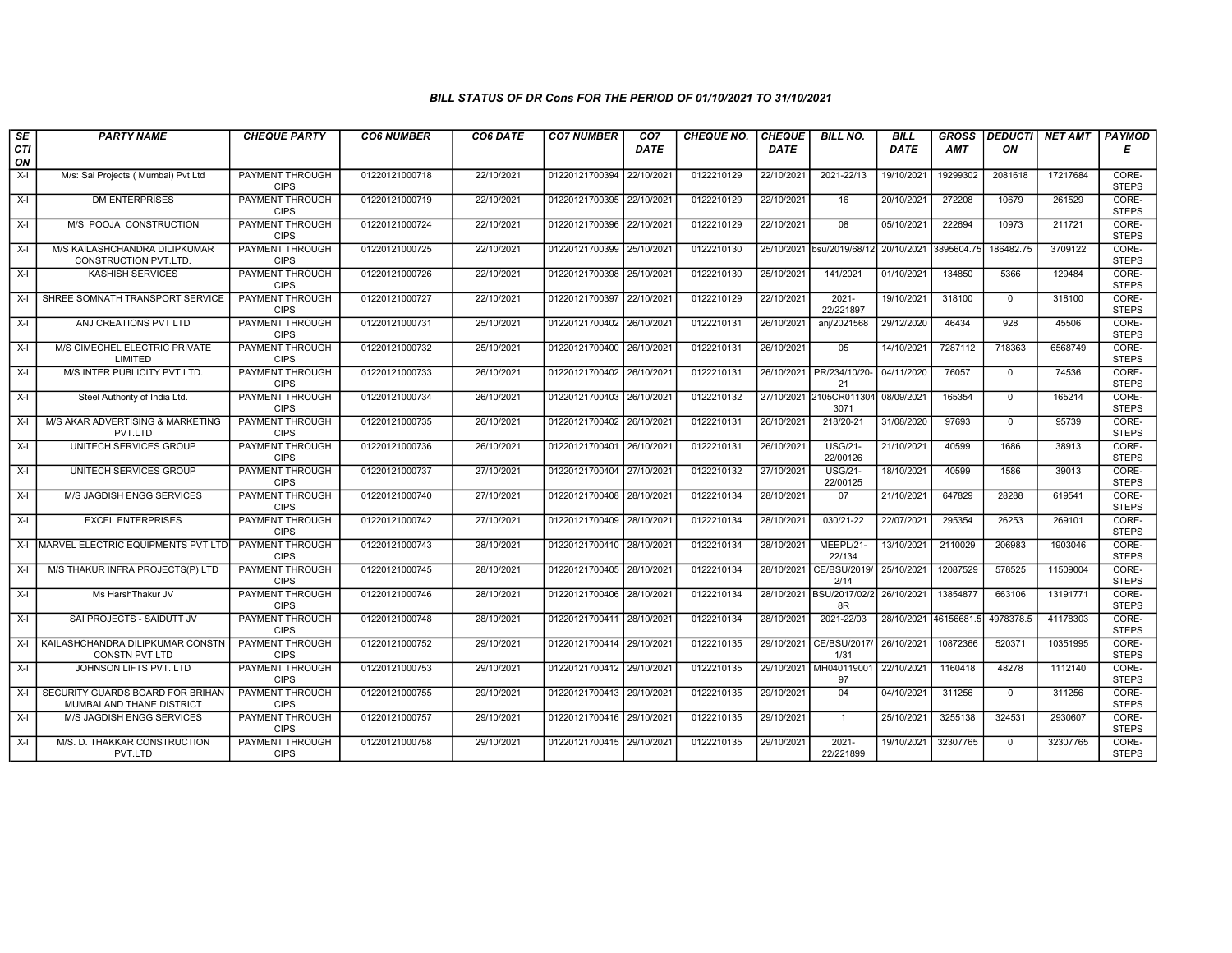## BILL STATUS OF DR Cons FOR THE PERIOD OF 01/10/2021 TO 31/10/2021

| $\overline{\mathsf{S}\mathsf{E}}$ | <b>PARTY NAME</b>                                             | <b>CHEQUE PARTY</b>                   | <b>CO6 NUMBER</b> | CO6 DATE   | <b>CO7 NUMBER</b>         | CO <sub>7</sub> | <b>CHEQUE NO.</b> | <b>CHEQUE</b> | <b>BILL NO.</b>                           | <b>BILL</b> | <b>GROSS</b>          |              | <b>DEDUCTI NET AMT</b> | <b>PAYMOD</b>         |
|-----------------------------------|---------------------------------------------------------------|---------------------------------------|-------------------|------------|---------------------------|-----------------|-------------------|---------------|-------------------------------------------|-------------|-----------------------|--------------|------------------------|-----------------------|
| CTI                               |                                                               |                                       |                   |            |                           | <b>DATE</b>     |                   | <b>DATE</b>   |                                           | <b>DATE</b> | AMT                   | ON           |                        | Е                     |
| ON                                |                                                               |                                       |                   |            |                           |                 |                   |               |                                           |             |                       |              |                        |                       |
| X-I                               | M/s: Sai Projects ( Mumbai) Pvt Ltd                           | <b>PAYMENT THROUGH</b><br><b>CIPS</b> | 01220121000718    | 22/10/2021 | 01220121700394            | 22/10/2021      | 0122210129        | 22/10/2021    | 2021-22/13                                | 19/10/2021  | 19299302              | 2081618      | 17217684               | CORE-<br><b>STEPS</b> |
| X-I                               | <b>DM ENTERPRISES</b>                                         | <b>PAYMENT THROUGH</b><br><b>CIPS</b> | 01220121000719    | 22/10/2021 | 01220121700395 22/10/2021 |                 | 0122210129        | 22/10/2021    | 16                                        | 20/10/2021  | 272208                | 10679        | 261529                 | CORE-<br><b>STEPS</b> |
| $X-I$                             | M/S POOJA CONSTRUCTION                                        | PAYMENT THROUGH<br><b>CIPS</b>        | 01220121000724    | 22/10/2021 | 01220121700396            | 22/10/202       | 0122210129        | 22/10/2021    | 08                                        | 05/10/2021  | 222694                | 10973        | 211721                 | CORE-<br><b>STEPS</b> |
| X-I                               | M/S KAILASHCHANDRA DILIPKUMAR<br>CONSTRUCTION PVT.LTD         | PAYMENT THROUGH<br><b>CIPS</b>        | 01220121000725    | 22/10/2021 | 01220121700399 25/10/2021 |                 | 0122210130        | 25/10/2021    | bsu/2019/68/12                            | 20/10/2021  | 3895604.75            | 186482.75    | 3709122                | CORE-<br><b>STEPS</b> |
| X-I                               | <b>KASHISH SERVICES</b>                                       | <b>PAYMENT THROUGH</b><br><b>CIPS</b> | 01220121000726    | 22/10/2021 | 01220121700398 25/10/2021 |                 | 0122210130        | 25/10/2021    | 141/2021                                  | 01/10/2021  | 134850                | 5366         | 129484                 | CORE-<br><b>STEPS</b> |
| $X-I$                             | SHREE SOMNATH TRANSPORT SERVICE                               | <b>PAYMENT THROUGH</b><br><b>CIPS</b> | 01220121000727    | 22/10/2021 | 01220121700397 22/10/202  |                 | 0122210129        | 22/10/2021    | $2021 -$<br>22/221897                     | 19/10/2021  | 318100                | $\mathbf 0$  | 318100                 | CORE-<br><b>STEPS</b> |
| X-I                               | ANJ CREATIONS PVT LTD                                         | PAYMENT THROUGH<br><b>CIPS</b>        | 01220121000731    | 25/10/2021 | 01220121700402 26/10/2021 |                 | 0122210131        | 26/10/2021    | anj/2021568                               | 29/12/2020  | 46434                 | 928          | 45506                  | CORE-<br><b>STEPS</b> |
| $X-I$                             | M/S CIMECHEL ELECTRIC PRIVATE<br>LIMITED                      | PAYMENT THROUGH<br><b>CIPS</b>        | 01220121000732    | 25/10/2021 | 01220121700400 26/10/2021 |                 | 0122210131        | 26/10/2021    | 05                                        | 14/10/2021  | 7287112               | 718363       | 6568749                | CORE-<br><b>STEPS</b> |
| $X-I$                             | M/S INTER PUBLICITY PVT.LTD.                                  | <b>PAYMENT THROUGH</b><br><b>CIPS</b> | 01220121000733    | 26/10/2021 | 01220121700402 26/10/2021 |                 | 0122210131        | 26/10/2021    | PR/234/10/20-<br>21                       | 04/11/2020  | 76057                 | $\mathbf{0}$ | 74536                  | CORE-<br><b>STEPS</b> |
| X-I                               | Steel Authority of India Ltd.                                 | <b>PAYMENT THROUGH</b><br><b>CIPS</b> | 01220121000734    | 26/10/2021 | 01220121700403 26/10/2021 |                 | 0122210132        | 27/10/2021    | 2105CR011304<br>3071                      | 08/09/2021  | 165354                | $\Omega$     | 165214                 | CORE-<br><b>STEPS</b> |
| $X-I$                             | M/S AKAR ADVERTISING & MARKETING<br>PVT.LTD                   | PAYMENT THROUGH<br><b>CIPS</b>        | 01220121000735    | 26/10/2021 | 01220121700402            | 26/10/2021      | 0122210131        | 26/10/2021    | 218/20-21                                 | 31/08/2020  | 97693                 | $\mathbf{0}$ | 95739                  | CORE-<br><b>STEPS</b> |
| $X-I$                             | UNITECH SERVICES GROUP                                        | PAYMENT THROUGH<br><b>CIPS</b>        | 01220121000736    | 26/10/2021 | 01220121700401 26/10/2021 |                 | 0122210131        | 26/10/2021    | <b>USG/21-</b><br>22/00126                | 21/10/2021  | 40599                 | 1686         | 38913                  | CORE-<br><b>STEPS</b> |
| $X-I$                             | UNITECH SERVICES GROUP                                        | <b>PAYMENT THROUGH</b><br><b>CIPS</b> | 01220121000737    | 27/10/2021 | 01220121700404            | 27/10/2021      | 0122210132        | 27/10/2021    | <b>USG/21-</b><br>22/00125                | 18/10/2021  | 40599                 | 1586         | 39013                  | CORE-<br><b>STEPS</b> |
| $X-I$                             | <b>M/S JAGDISH ENGG SERVICES</b>                              | <b>PAYMENT THROUGH</b><br><b>CIPS</b> | 01220121000740    | 27/10/2021 | 01220121700408            | 28/10/2021      | 0122210134        | 28/10/2021    | 07                                        | 21/10/2021  | 647829                | 28288        | 619541                 | CORE-<br><b>STEPS</b> |
| X-I                               | <b>EXCEL ENTERPRISES</b>                                      | PAYMENT THROUGH<br><b>CIPS</b>        | 01220121000742    | 27/10/2021 | 01220121700409 28/10/202  |                 | 0122210134        | 28/10/2021    | 030/21-22                                 | 22/07/2021  | 295354                | 26253        | 269101                 | CORE-<br><b>STEPS</b> |
| $X-I$                             | MARVEL ELECTRIC EQUIPMENTS PVT LTD                            | <b>PAYMENT THROUGH</b><br><b>CIPS</b> | 01220121000743    | 28/10/2021 | 01220121700410 28/10/2021 |                 | 0122210134        | 28/10/2021    | MEEPL/21-<br>22/134                       | 13/10/2021  | 2110029               | 206983       | 1903046                | CORE-<br><b>STEPS</b> |
| $X-I$                             | M/S THAKUR INFRA PROJECTS(P) LTD                              | <b>PAYMENT THROUGH</b><br><b>CIPS</b> | 01220121000745    | 28/10/2021 | 01220121700405 28/10/2021 |                 | 0122210134        | 28/10/2021    | CE/BSU/2019/<br>2/14                      | 25/10/2021  | 12087529              | 578525       | 11509004               | CORE-<br><b>STEPS</b> |
| X-I                               | Ms HarshThakur JV                                             | <b>PAYMENT THROUGH</b><br><b>CIPS</b> | 01220121000746    | 28/10/2021 | 01220121700406 28/10/2021 |                 | 0122210134        |               | 28/10/2021 BSU/2017/02/2 26/10/2021<br>8R |             | 13854877              | 663106       | 13191771               | CORE-<br><b>STEPS</b> |
| X-I                               | SAI PROJECTS - SAIDUTT JV                                     | PAYMENT THROUGH<br><b>CIPS</b>        | 01220121000748    | 28/10/2021 | 01220121700411 28/10/2021 |                 | 0122210134        | 28/10/2021    | 2021-22/03                                |             | 28/10/2021 46156681.5 | 4978378.5    | 41178303               | CORE-<br><b>STEPS</b> |
| $X-I$                             | KAILASHCHANDRA DILIPKUMAR CONSTN<br><b>CONSTN PVT LTD</b>     | <b>PAYMENT THROUGH</b><br><b>CIPS</b> | 01220121000752    | 29/10/2021 | 01220121700414            | 29/10/202       | 0122210135        | 29/10/2021    | CE/BSU/2017<br>1/31                       | 26/10/2021  | 10872366              | 520371       | 10351995               | CORE-<br><b>STEPS</b> |
| X-I                               | JOHNSON LIFTS PVT. LTD                                        | PAYMENT THROUGH<br><b>CIPS</b>        | 01220121000753    | 29/10/2021 | 01220121700412 29/10/2021 |                 | 0122210135        | 29/10/2021    | MH040119001<br>97                         | 22/10/2021  | 1160418               | 48278        | 1112140                | CORE-<br><b>STEPS</b> |
| $X-I$                             | SECURITY GUARDS BOARD FOR BRIHAN<br>MUMBAI AND THANE DISTRICT | <b>PAYMENT THROUGH</b><br><b>CIPS</b> | 01220121000755    | 29/10/2021 | 01220121700413 29/10/2021 |                 | 0122210135        | 29/10/2021    | 04                                        | 04/10/2021  | 311256                | $\mathbf{0}$ | 311256                 | CORE-<br><b>STEPS</b> |
| $X-I$                             | M/S JAGDISH ENGG SERVICES                                     | PAYMENT THROUGH<br><b>CIPS</b>        | 01220121000757    | 29/10/2021 | 01220121700416 29/10/2021 |                 | 0122210135        | 29/10/2021    | $\overline{1}$                            | 25/10/2021  | 3255138               | 324531       | 2930607                | CORE-<br><b>STEPS</b> |
| X-I                               | M/S. D. THAKKAR CONSTRUCTION<br>PVT.LTD                       | PAYMENT THROUGH<br><b>CIPS</b>        | 01220121000758    | 29/10/2021 | 01220121700415 29/10/2021 |                 | 0122210135        | 29/10/2021    | $2021 -$<br>22/221899                     | 19/10/2021  | 32307765              | $\Omega$     | 32307765               | CORE-<br><b>STEPS</b> |